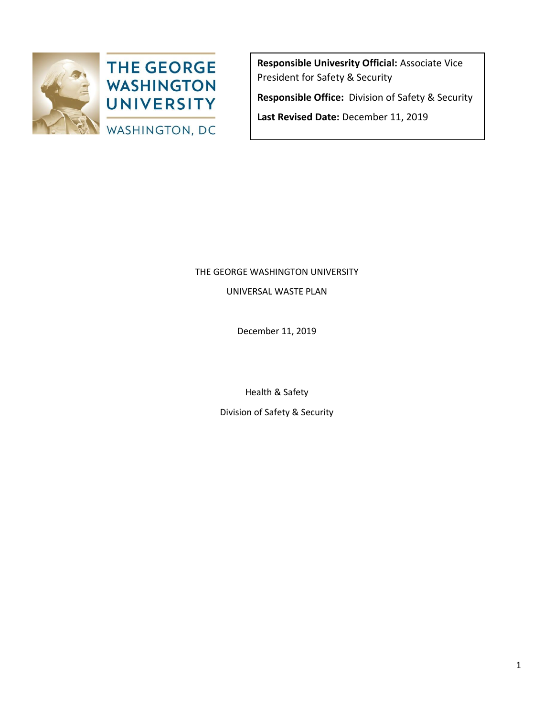

**Responsible Univesrity Official:** Associate Vice President for Safety & Security **Responsible Office:** Division of Safety & Security

**Last Revised Date:** December 11, 2019

# THE GEORGE WASHINGTON UNIVERSITY

UNIVERSAL WASTE PLAN

December 11, 2019

Health & Safety

Division of Safety & Security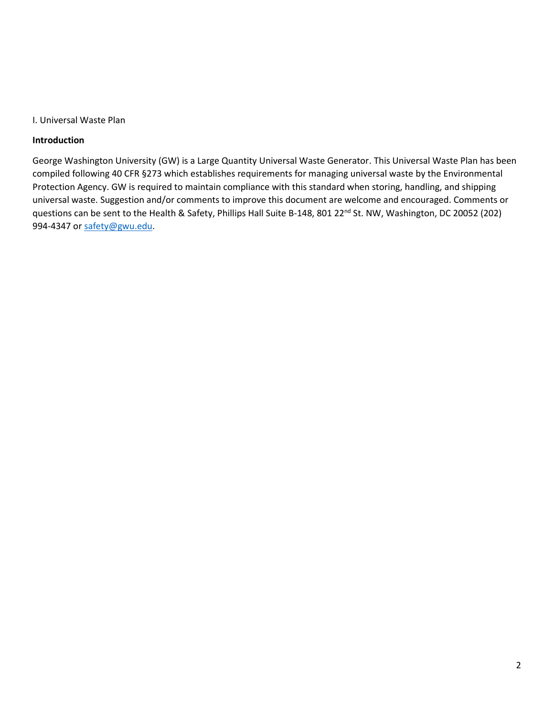#### I. Universal Waste Plan

#### **Introduction**

George Washington University (GW) is a Large Quantity Universal Waste Generator. This Universal Waste Plan has been compiled following 40 CFR §273 which establishes requirements for managing universal waste by the Environmental Protection Agency. GW is required to maintain compliance with this standard when storing, handling, and shipping universal waste. Suggestion and/or comments to improve this document are welcome and encouraged. Comments or questions can be sent to the Health & Safety, Phillips Hall Suite B-148, 801 22<sup>nd</sup> St. NW, Washington, DC 20052 (202) 994-4347 or [safety@gwu.edu.](mailto:safety@gwu.edu)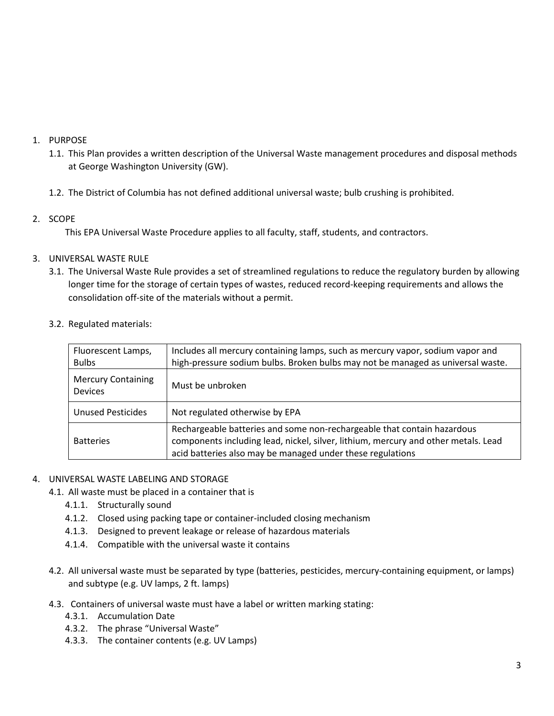## 1. PURPOSE

- 1.1. This Plan provides a written description of the Universal Waste management procedures and disposal methods at George Washington University (GW).
- 1.2. The District of Columbia has not defined additional universal waste; bulb crushing is prohibited.

# 2. SCOPE

This EPA Universal Waste Procedure applies to all faculty, staff, students, and contractors.

# 3. UNIVERSAL WASTE RULE

- 3.1. The Universal Waste Rule provides a set of streamlined regulations to reduce the regulatory burden by allowing longer time for the storage of certain types of wastes, reduced record-keeping requirements and allows the consolidation off-site of the materials without a permit.
- 3.2. Regulated materials:

| Fluorescent Lamps,<br><b>Bulbs</b>          | Includes all mercury containing lamps, such as mercury vapor, sodium vapor and<br>high-pressure sodium bulbs. Broken bulbs may not be managed as universal waste.                                                           |  |
|---------------------------------------------|-----------------------------------------------------------------------------------------------------------------------------------------------------------------------------------------------------------------------------|--|
| <b>Mercury Containing</b><br><b>Devices</b> | Must be unbroken                                                                                                                                                                                                            |  |
| <b>Unused Pesticides</b>                    | Not regulated otherwise by EPA                                                                                                                                                                                              |  |
| <b>Batteries</b>                            | Rechargeable batteries and some non-rechargeable that contain hazardous<br>components including lead, nickel, silver, lithium, mercury and other metals. Lead<br>acid batteries also may be managed under these regulations |  |

## 4. UNIVERSAL WASTE LABELING AND STORAGE

- 4.1. All waste must be placed in a container that is
	- 4.1.1. Structurally sound
	- 4.1.2. Closed using packing tape or container-included closing mechanism
	- 4.1.3. Designed to prevent leakage or release of hazardous materials
	- 4.1.4. Compatible with the universal waste it contains
- 4.2. All universal waste must be separated by type (batteries, pesticides, mercury-containing equipment, or lamps) and subtype (e.g. UV lamps, 2 ft. lamps)
- 4.3. Containers of universal waste must have a label or written marking stating:
	- 4.3.1. Accumulation Date
	- 4.3.2. The phrase "Universal Waste"
	- 4.3.3. The container contents (e.g. UV Lamps)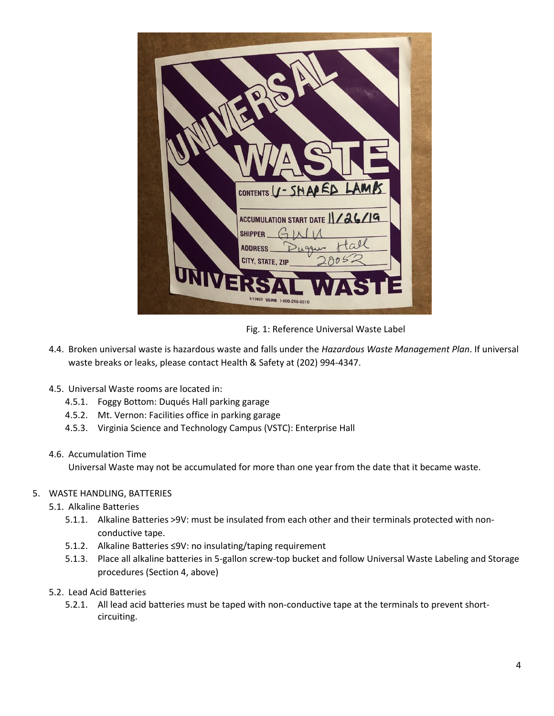| CONTENTS U-SHAPED LAMB                                                                         |  |
|------------------------------------------------------------------------------------------------|--|
| ACCUMULATION START DATE 1/26/19<br>SHIPPER $\Box$<br>ADDRESS<br>$\sqrt{1}$<br>CITY, STATE, ZIP |  |
| UNIVEI<br>WASHE<br>S-13829 ULINE 1-800-295-5510                                                |  |

Fig. 1: Reference Universal Waste Label

- 4.4. Broken universal waste is hazardous waste and falls under the *Hazardous Waste Management Plan*. If universal waste breaks or leaks, please contact Health & Safety at (202) 994-4347.
- 4.5. Universal Waste rooms are located in:
	- 4.5.1. Foggy Bottom: Duqués Hall parking garage
	- 4.5.2. Mt. Vernon: Facilities office in parking garage
	- 4.5.3. Virginia Science and Technology Campus (VSTC): Enterprise Hall
- 4.6. Accumulation Time

Universal Waste may not be accumulated for more than one year from the date that it became waste.

- 5. WASTE HANDLING, BATTERIES
	- 5.1. Alkaline Batteries
		- 5.1.1. Alkaline Batteries >9V: must be insulated from each other and their terminals protected with nonconductive tape.
		- 5.1.2. Alkaline Batteries ≤9V: no insulating/taping requirement
		- 5.1.3. Place all alkaline batteries in 5-gallon screw-top bucket and follow Universal Waste Labeling and Storage procedures (Section 4, above)
	- 5.2. Lead Acid Batteries
		- 5.2.1. All lead acid batteries must be taped with non-conductive tape at the terminals to prevent shortcircuiting.